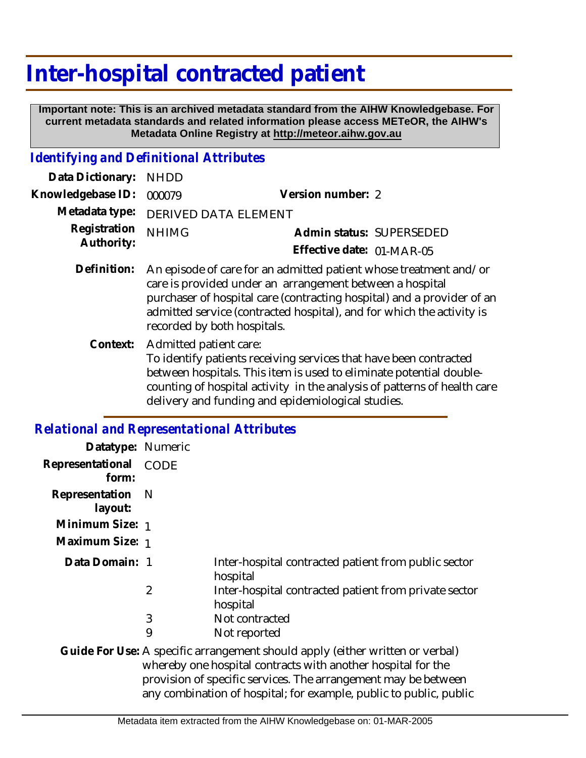# **Inter-hospital contracted patient**

 **Important note: This is an archived metadata standard from the AIHW Knowledgebase. For current metadata standards and related information please access METeOR, the AIHW's Metadata Online Registry at http://meteor.aihw.gov.au**

## *Identifying and Definitional Attributes*

| Data Dictionary:           | <b>NHDD</b>                                                                                                                                                                                                                                                                                                     |                           |                          |
|----------------------------|-----------------------------------------------------------------------------------------------------------------------------------------------------------------------------------------------------------------------------------------------------------------------------------------------------------------|---------------------------|--------------------------|
| Knowledgebase ID:          | 000079                                                                                                                                                                                                                                                                                                          | Version number: 2         |                          |
| Metadata type:             | DERIVED DATA ELEMENT                                                                                                                                                                                                                                                                                            |                           |                          |
| Registration<br>Authority: | <b>NHIMG</b>                                                                                                                                                                                                                                                                                                    |                           | Admin status: SUPERSEDED |
|                            |                                                                                                                                                                                                                                                                                                                 | Effective date: 01-MAR-05 |                          |
| Definition:                | An episode of care for an admitted patient whose treatment and/or<br>care is provided under an arrangement between a hospital<br>purchaser of hospital care (contracting hospital) and a provider of an<br>admitted service (contracted hospital), and for which the activity is<br>recorded by both hospitals. |                           |                          |
| Context:                   | Admitted patient care:<br>To identify patients receiving services that have been contracted<br>between hospitals. This item is used to eliminate potential double-<br>counting of hospital activity in the analysis of patterns of health care                                                                  |                           |                          |

delivery and funding and epidemiological studies.

#### *Relational and Representational Attributes*

| Datatype: Numeric                                                                                                                             |                |                                                                   |  |
|-----------------------------------------------------------------------------------------------------------------------------------------------|----------------|-------------------------------------------------------------------|--|
| Representational<br>form:                                                                                                                     | <b>CODE</b>    |                                                                   |  |
| Representation<br>layout:                                                                                                                     | - N            |                                                                   |  |
| Minimum Size: 1                                                                                                                               |                |                                                                   |  |
| Maximum Size: 1                                                                                                                               |                |                                                                   |  |
| Data Domain: 1                                                                                                                                |                | Inter-hospital contracted patient from public sector<br>hospital  |  |
|                                                                                                                                               | $\overline{2}$ | Inter-hospital contracted patient from private sector<br>hospital |  |
|                                                                                                                                               | 3              | Not contracted                                                    |  |
|                                                                                                                                               | 9              | Not reported                                                      |  |
| Guide For Use: A specific arrangement should apply (either written or verbal)<br>whereby and bespitel contracts with another bespitel for the |                |                                                                   |  |

whereby one hospital contracts with another hospital for the provision of specific services. The arrangement may be between any combination of hospital; for example, public to public, public